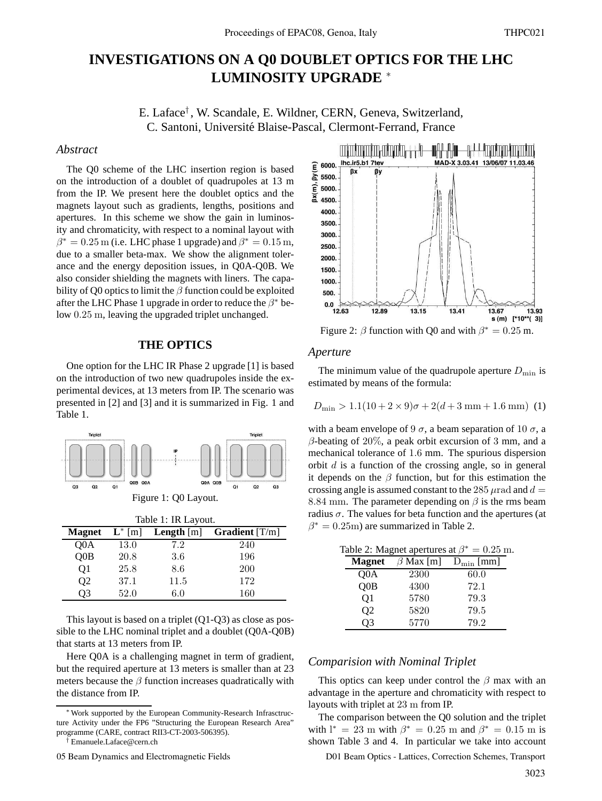# **INVESTIGATIONS ON A Q0 DOUBLET OPTICS FOR THE LHC LUMINOSITY UPGRADE** <sup>∗</sup>

E. Laface† , W. Scandale, E. Wildner, CERN, Geneva, Switzerland, C. Santoni, Université Blaise-Pascal, Clermont-Ferrand, France

#### *Abstract*

The Q0 scheme of the LHC insertion region is based on the introduction of a doublet of quadrupoles at 13 m from the IP. We present here the doublet optics and the magnets layout such as gradients, lengths, positions and apertures. In this scheme we show the gain in luminosity and chromaticity, with respect to a nominal layout with  $\beta^*=0.25\,\mathrm{m}$  (i.e. LHC phase 1 upgrade) and  $\beta^*=0.15\,\mathrm{m},$ due to a smaller beta-max. We show the alignment tolerance and the energy deposition issues, in Q0A-Q0B. We also consider shielding the magnets with liners. The capability of Q0 optics to limit the  $\beta$  function could be exploited after the LHC Phase 1 upgrade in order to reduce the  $\beta^*$  below 0.25 m, leaving the upgraded triplet unchanged.

#### **THE OPTICS**

One option for the LHC IR Phase 2 upgrade [1] is based on the introduction of two new quadrupoles inside the experimental devices, at 13 meters from IP. The scenario was presented in [2] and [3] and it is summarized in Fig. 1 and Table 1.



This layout is based on a triplet (Q1-Q3) as close as possible to the LHC nominal triplet and a doublet (Q0A-Q0B) that starts at 13 meters from IP.

Here Q0A is a challenging magnet in term of gradient, but the required aperture at 13 meters is smaller than at 23 meters because the  $\beta$  function increases quadratically with the distance from IP.

† Emanuele.Laface@cern.ch



Figure 2:  $\beta$  function with Q0 and with  $\beta^* = 0.25$  m.

#### *Aperture*

The minimum value of the quadrupole aperture  $D_{\text{min}}$  is estimated by means of the formula:

$$
D_{\min} > 1.1(10 + 2 \times 9)\sigma + 2(d + 3 \text{ mm} + 1.6 \text{ mm})
$$
 (1)

with a beam envelope of 9  $\sigma$ , a beam separation of 10  $\sigma$ , a  $\beta$ -beating of 20%, a peak orbit excursion of 3 mm, and a mechanical tolerance of 1.6 mm. The spurious dispersion orbit  $d$  is a function of the crossing angle, so in general it depends on the  $\beta$  function, but for this estimation the crossing angle is assumed constant to the 285  $\mu$ rad and  $d =$ 8.84 mm. The parameter depending on  $\beta$  is the rms beam radius  $\sigma$ . The values for beta function and the apertures (at  $\beta^* = 0.25$ m) are summarized in Table 2.

| Table 2: Magnet apertures at $\beta^* = 0.25$ m. |                |                                 |      |  |  |  |  |  |
|--------------------------------------------------|----------------|---------------------------------|------|--|--|--|--|--|
|                                                  | <b>Magnet</b>  | $\beta$ Max [m] $D_{\min}$ [mm] |      |  |  |  |  |  |
|                                                  | Q0A            | 2300                            | 60.0 |  |  |  |  |  |
|                                                  | OOB            | 4300                            | 72.1 |  |  |  |  |  |
|                                                  | 01             | 5780                            | 79.3 |  |  |  |  |  |
|                                                  | O <sub>2</sub> | 5820                            | 79.5 |  |  |  |  |  |
|                                                  | O <sub>3</sub> | 5770                            | 79.2 |  |  |  |  |  |

#### *Comparision with Nominal Triplet*

This optics can keep under control the  $\beta$  max with an advantage in the aperture and chromaticity with respect to layouts with triplet at 23 m from IP.

The comparison between the Q0 solution and the triplet with  $l^* = 23$  m with  $\beta^* = 0.25$  m and  $\beta^* = 0.15$  m is shown Table 3 and 4. In particular we take into account

05 Beam Dynamics and Electromagnetic Fields D01 Beam Optics - Lattices, Correction Schemes, Transport

<sup>∗</sup>Work supported by the European Community-Research Infrasctructure Activity under the FP6 "Structuring the European Research Area" programme (CARE, contract RII3-CT-2003-506395).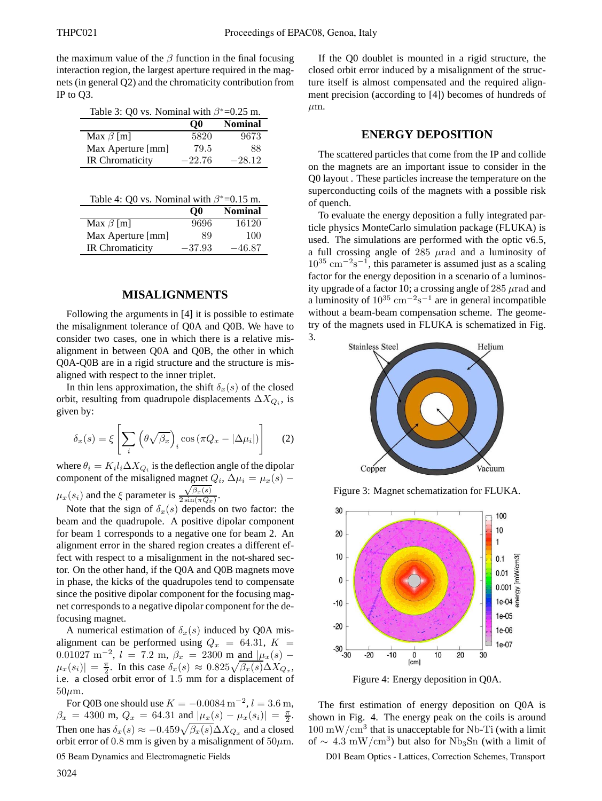the maximum value of the  $\beta$  function in the final focusing interaction region, the largest aperture required in the magnets (in general Q2) and the chromaticity contribution from IP to Q3.

| Table 3: Q0 vs. Nominal with $\beta^*$ =0.25 m. |                |  |  |  |  |
|-------------------------------------------------|----------------|--|--|--|--|
| $\Omega$                                        | <b>Nominal</b> |  |  |  |  |
| 5820                                            | 9673           |  |  |  |  |
| 79.5                                            | 88             |  |  |  |  |
| $-22.76$                                        | $-28.12$       |  |  |  |  |
|                                                 |                |  |  |  |  |

| Table 4: Q0 vs. Nominal with $\beta^*$ =0.15 m. |  |  |  |
|-------------------------------------------------|--|--|--|
|-------------------------------------------------|--|--|--|

|                        | $\bf{O}0$ | <b>Nominal</b> |
|------------------------|-----------|----------------|
| Max $\beta$ [m]        | 9696      | 16120          |
| Max Aperture [mm]      | 89        | 100            |
| <b>IR Chromaticity</b> | $-37.93$  | $-46.87$       |

### **MISALIGNMENTS**

Following the arguments in [4] it is possible to estimate the misalignment tolerance of Q0A and Q0B. We have to consider two cases, one in which there is a relative misalignment in between Q0A and Q0B, the other in which Q0A-Q0B are in a rigid structure and the structure is misaligned with respect to the inner triplet.

In thin lens approximation, the shift  $\delta_x(s)$  of the closed orbit, resulting from quadrupole displacements  $\Delta X_{Q_i}$ , is given by:

$$
\delta_x(s) = \xi \left[ \sum_i \left( \theta \sqrt{\beta_x} \right)_i \cos \left( \pi Q_x - |\Delta \mu_i| \right) \right] \tag{2}
$$

where  $\theta_i = K_i l_i \Delta X_{Q_i}$  is the deflection angle of the dipolar component of the misaligned magnet  $Q_i$ ,  $\Delta \mu_i = \mu_x(s)$  –  $\mu_x(s_i)$  and the  $\xi$  parameter is  $\sqrt{\beta_x(s)}$  $\frac{\sqrt{P_x(s)}}{2\sin(\pi Q_x)}$ .

Note that the sign of  $\delta_x(s)$  depends on two factor: the beam and the quadrupole. A positive dipolar component for beam 1 corresponds to a negative one for beam 2. An alignment error in the shared region creates a different effect with respect to a misalignment in the not-shared sector. On the other hand, if the Q0A and Q0B magnets move in phase, the kicks of the quadrupoles tend to compensate since the positive dipolar component for the focusing magnet corresponds to a negative dipolar component for the defocusing magnet.

A numerical estimation of  $\delta_x(s)$  induced by Q0A misalignment can be performed using  $Q_x = 64.31, K =$ 0.01027 m<sup>-2</sup>, l = 7.2 m,  $\beta_x$  = 2300 m and  $\mu_x(s)$  –  $\mu_x(s_i)| = \frac{\pi}{2}$ . In this case  $\delta_x(s) \approx 0.825 \sqrt{\beta_x(s)} \Delta X_{Q_x}$ , i.e. a closed orbit error of 1.5 mm for a displacement of  $50 \mu m$ .

For Q0B one should use  $K = -0.0084 \,\mathrm{m}^{-2}$ ,  $l = 3.6 \,\mathrm{m}$ ,  $\beta_x = 4300 \text{ m}, Q_x = 64.31 \text{ and } |\mu_x(s) - \mu_x(s_i)| = \frac{\pi}{2}.$ Then one has  $\delta_x(s) \approx -0.459 \sqrt{\beta_x(s)} \Delta X_{Q_x}$  and a closed orbit error of 0.8 mm is given by a misalignment of  $50 \mu$ m.

05 Beam Dynamics and Electromagnetic Fields

If the Q0 doublet is mounted in a rigid structure, the closed orbit error induced by a misalignment of the structure itself is almost compensated and the required alignment precision (according to [4]) becomes of hundreds of  $\mu$ m.

#### **ENERGY DEPOSITION**

The scattered particles that come from the IP and collide on the magnets are an important issue to consider in the Q0 layout . These particles increase the temperature on the superconducting coils of the magnets with a possible risk of quench.

To evaluate the energy deposition a fully integrated particle physics MonteCarlo simulation package (FLUKA) is used. The simulations are performed with the optic v6.5, a full crossing angle of  $285 \mu$ rad and a luminosity of  $10^{35}$  cm<sup>-2</sup>s<sup>-1</sup>, this parameter is assumed just as a scaling factor for the energy deposition in a scenario of a luminosity upgrade of a factor 10; a crossing angle of  $285 \mu$ rad and a luminosity of  $10^{35}$  cm<sup>-2</sup>s<sup>-1</sup> are in general incompatible without a beam-beam compensation scheme. The geometry of the magnets used in FLUKA is schematized in Fig. 3.



Figure 3: Magnet schematization for FLUKA.



Figure 4: Energy deposition in Q0A.

The first estimation of energy deposition on Q0A is shown in Fig. 4. The energy peak on the coils is around  $100 \text{ mW/cm}^3$  that is unacceptable for Nb-Ti (with a limit of  $\sim 4.3 \text{ mW/cm}^3$ ) but also for Nb<sub>3</sub>Sn (with a limit of

D01 Beam Optics - Lattices, Correction Schemes, Transport